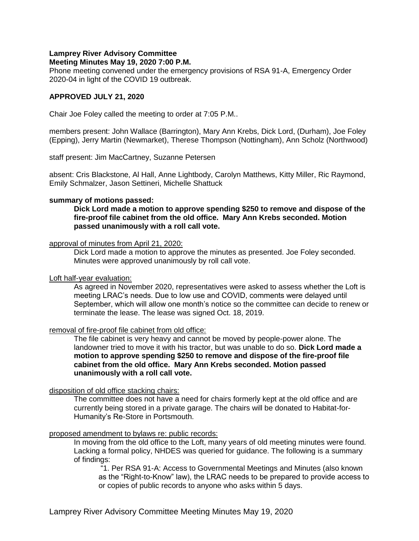# **Lamprey River Advisory Committee**

## **Meeting Minutes May 19, 2020 7:00 P.M.**

Phone meeting convened under the emergency provisions of RSA 91-A, Emergency Order 2020-04 in light of the COVID 19 outbreak.

## **APPROVED JULY 21, 2020**

Chair Joe Foley called the meeting to order at 7:05 P.M..

members present: John Wallace (Barrington), Mary Ann Krebs, Dick Lord, (Durham), Joe Foley (Epping), Jerry Martin (Newmarket), Therese Thompson (Nottingham), Ann Scholz (Northwood)

staff present: Jim MacCartney, Suzanne Petersen

absent: Cris Blackstone, Al Hall, Anne Lightbody, Carolyn Matthews, Kitty Miller, Ric Raymond, Emily Schmalzer, Jason Settineri, Michelle Shattuck

## **summary of motions passed:**

**Dick Lord made a motion to approve spending \$250 to remove and dispose of the fire-proof file cabinet from the old office. Mary Ann Krebs seconded. Motion passed unanimously with a roll call vote.** 

#### approval of minutes from April 21, 2020:

Dick Lord made a motion to approve the minutes as presented. Joe Foley seconded. Minutes were approved unanimously by roll call vote.

#### Loft half-year evaluation:

As agreed in November 2020, representatives were asked to assess whether the Loft is meeting LRAC's needs. Due to low use and COVID, comments were delayed until September, which will allow one month's notice so the committee can decide to renew or terminate the lease. The lease was signed Oct. 18, 2019.

## removal of fire-proof file cabinet from old office:

The file cabinet is very heavy and cannot be moved by people-power alone. The landowner tried to move it with his tractor, but was unable to do so. **Dick Lord made a motion to approve spending \$250 to remove and dispose of the fire-proof file cabinet from the old office. Mary Ann Krebs seconded. Motion passed unanimously with a roll call vote.**

## disposition of old office stacking chairs:

The committee does not have a need for chairs formerly kept at the old office and are currently being stored in a private garage. The chairs will be donated to Habitat-for-Humanity's Re-Store in Portsmouth.

## proposed amendment to bylaws re: public records:

In moving from the old office to the Loft, many years of old meeting minutes were found. Lacking a formal policy, NHDES was queried for guidance. The following is a summary of findings:

"1. Per RSA 91-A: Access to Governmental Meetings and Minutes (also known as the "Right-to-Know" law), the LRAC needs to be prepared to provide access to or copies of public records to anyone who asks within 5 days.